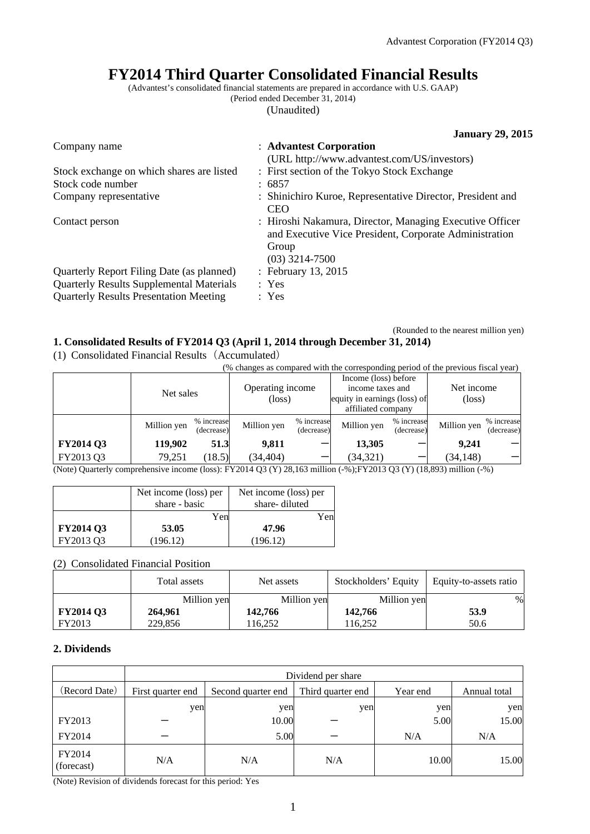# **FY2014 Third Quarter Consolidated Financial Results**

(Advantest's consolidated financial statements are prepared in accordance with U.S. GAAP)

(Period ended December 31, 2014)

(Unaudited)

|                                                 | <b>January 29, 2015</b>                                                                                                                         |
|-------------------------------------------------|-------------------------------------------------------------------------------------------------------------------------------------------------|
| Company name                                    | : Advantest Corporation                                                                                                                         |
|                                                 | (URL http://www.advantest.com/US/investors)                                                                                                     |
| Stock exchange on which shares are listed       | : First section of the Tokyo Stock Exchange                                                                                                     |
| Stock code number                               | : 6857                                                                                                                                          |
| Company representative                          | : Shinichiro Kuroe, Representative Director, President and<br>CEO                                                                               |
| Contact person                                  | : Hiroshi Nakamura, Director, Managing Executive Officer<br>and Executive Vice President, Corporate Administration<br>Group<br>$(03)$ 3214-7500 |
| Quarterly Report Filing Date (as planned)       | : February 13, 2015                                                                                                                             |
| <b>Quarterly Results Supplemental Materials</b> | : Yes                                                                                                                                           |
| <b>Quarterly Results Presentation Meeting</b>   | : Yes                                                                                                                                           |

### (Rounded to the nearest million yen) **1. Consolidated Results of FY2014 Q3 (April 1, 2014 through December 31, 2014)**

(1) Consolidated Financial Results(Accumulated)

|                                                                                                                                                              | (% changes as compared with the corresponding period of the previous fiscal year) |                          |                            |                          |                                                                                                |                          |                               |                          |
|--------------------------------------------------------------------------------------------------------------------------------------------------------------|-----------------------------------------------------------------------------------|--------------------------|----------------------------|--------------------------|------------------------------------------------------------------------------------------------|--------------------------|-------------------------------|--------------------------|
|                                                                                                                                                              | Net sales                                                                         |                          | Operating income<br>(loss) |                          | Income (loss) before<br>income taxes and<br>equity in earnings (loss) of<br>affiliated company |                          | Net income<br>$(\text{loss})$ |                          |
|                                                                                                                                                              | Million yen                                                                       | % increase<br>(decrease) | Million yen                | % increase<br>(decrease) | Million yen                                                                                    | % increase<br>(decrease) | Million yen                   | % increase<br>(decrease) |
| FY2014 Q3                                                                                                                                                    | 119.902                                                                           | 51.3                     | 9.811                      |                          | 13,305                                                                                         |                          | 9.241                         |                          |
| FY2013 Q3<br>$(1, 0)$ $(0, 1)$ $(0, 0)$ $(1, 0)$ $(0, 1)$ $(1, 0)$ $(1, 0)$ $(0, 0)$ $(0, 0)$ $(0, 0)$ $(0, 0)$ $(0, 0)$ $(0, 0)$ $(1, 0)$ $(0, 0)$ $(1, 0)$ | 79,251                                                                            | (18.5)                   | (34, 404)                  |                          | (34, 321)                                                                                      |                          | (34, 148)                     |                          |

(Note) Quarterly comprehensive income (loss): FY2014 Q3 (Y) 28,163 million (-%);FY2013 Q3 (Y) (18,893) million (-%)

|                  | Net income (loss) per | Net income (loss) per |  |  |
|------------------|-----------------------|-----------------------|--|--|
|                  | share - basic         | share-diluted         |  |  |
|                  | Yen                   | Yen                   |  |  |
| <b>FY2014 Q3</b> | 53.05                 | 47.96                 |  |  |
| FY2013 O3        | (196.12)              | (196.12)              |  |  |

(2) Consolidated Financial Position

|                  | Total assets | Net assets  | Stockholders' Equity | Equity-to-assets ratio |
|------------------|--------------|-------------|----------------------|------------------------|
|                  | Million yen  | Million yen | Million yen          | $\%$                   |
| <b>FY2014 Q3</b> | 264,961      | 142.766     | 142,766              | 53.9                   |
| FY2013           | 229,856      | 116.252     | 116.252              | 50.6                   |

## **2. Dividends**

|                      | Dividend per share |                    |                   |          |              |
|----------------------|--------------------|--------------------|-------------------|----------|--------------|
| (Record Date)        | First quarter end  | Second quarter end | Third quarter end | Year end | Annual total |
|                      | yen                | yen                | yen               | yen      | yen          |
| FY2013               |                    | 10.00              |                   | 5.00     | 15.00        |
| FY2014               |                    | 5.00               |                   | N/A      | N/A          |
| FY2014<br>(forecast) | N/A                | N/A                | N/A               | 10.00    | 15.00        |

(Note) Revision of dividends forecast for this period: Yes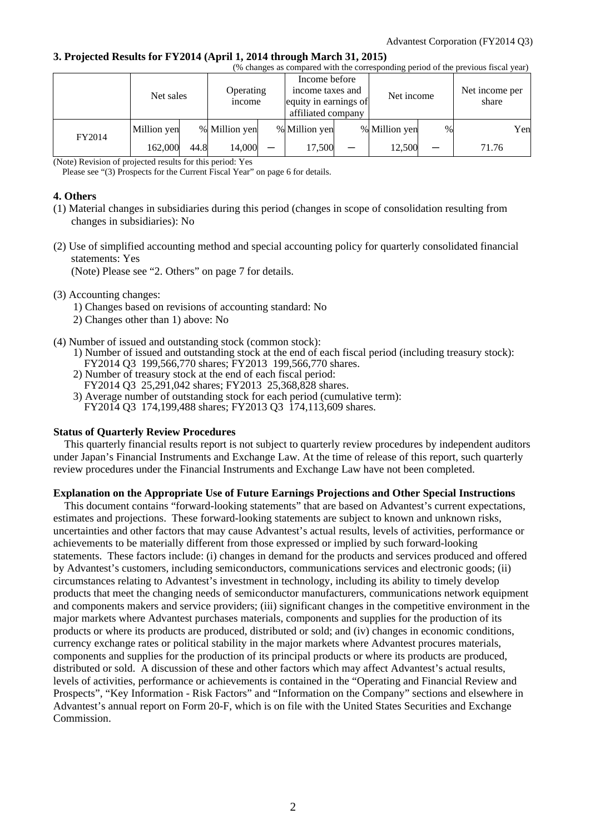#### **3. Projected Results for FY2014 (April 1, 2014 through March 31, 2015)**

| (% changes as compared with the corresponding period of the previous fiscal year) |             |      |                                 |  |                                                                                  |  |               |               |            |     |                         |  |
|-----------------------------------------------------------------------------------|-------------|------|---------------------------------|--|----------------------------------------------------------------------------------|--|---------------|---------------|------------|-----|-------------------------|--|
|                                                                                   | Net sales   |      | Operating<br><sub>1</sub> ncome |  | Income before<br>income taxes and<br>equity in earnings of<br>affiliated company |  |               |               | Net income |     | Net income per<br>share |  |
| FY2014                                                                            | Million yen |      | % Million yen                   |  | % Million yen                                                                    |  | % Million yen | $\frac{0}{0}$ |            | Yen |                         |  |
|                                                                                   | 162,000     | 44.8 | 14,000                          |  | 17,500                                                                           |  | 12,500        |               | 71.76      |     |                         |  |

(Note) Revision of projected results for this period: Yes

Please see "(3) Prospects for the Current Fiscal Year" on page 6 for details.

#### **4. Others**

- (1) Material changes in subsidiaries during this period (changes in scope of consolidation resulting from changes in subsidiaries): No
- (2) Use of simplified accounting method and special accounting policy for quarterly consolidated financial statements: Yes

(Note) Please see "2. Others" on page 7 for details.

#### (3) Accounting changes:

- 1) Changes based on revisions of accounting standard: No
- 2) Changes other than 1) above: No
- (4) Number of issued and outstanding stock (common stock):
	- 1) Number of issued and outstanding stock at the end of each fiscal period (including treasury stock): FY2014 Q3 199,566,770 shares; FY2013 199,566,770 shares.
	- 2) Number of treasury stock at the end of each fiscal period:
	- FY2014 Q3 25,291,042 shares; FY2013 25,368,828 shares.
	- 3) Average number of outstanding stock for each period (cumulative term): FY2014 Q3 174,199,488 shares; FY2013 Q3 174,113,609 shares.

#### **Status of Quarterly Review Procedures**

This quarterly financial results report is not subject to quarterly review procedures by independent auditors under Japan's Financial Instruments and Exchange Law. At the time of release of this report, such quarterly review procedures under the Financial Instruments and Exchange Law have not been completed.

#### **Explanation on the Appropriate Use of Future Earnings Projections and Other Special Instructions**

This document contains "forward-looking statements" that are based on Advantest's current expectations, estimates and projections. These forward-looking statements are subject to known and unknown risks, uncertainties and other factors that may cause Advantest's actual results, levels of activities, performance or achievements to be materially different from those expressed or implied by such forward-looking statements. These factors include: (i) changes in demand for the products and services produced and offered by Advantest's customers, including semiconductors, communications services and electronic goods; (ii) circumstances relating to Advantest's investment in technology, including its ability to timely develop products that meet the changing needs of semiconductor manufacturers, communications network equipment and components makers and service providers; (iii) significant changes in the competitive environment in the major markets where Advantest purchases materials, components and supplies for the production of its products or where its products are produced, distributed or sold; and (iv) changes in economic conditions, currency exchange rates or political stability in the major markets where Advantest procures materials, components and supplies for the production of its principal products or where its products are produced, distributed or sold. A discussion of these and other factors which may affect Advantest's actual results, levels of activities, performance or achievements is contained in the "Operating and Financial Review and Prospects", "Key Information - Risk Factors" and "Information on the Company" sections and elsewhere in Advantest's annual report on Form 20-F, which is on file with the United States Securities and Exchange Commission.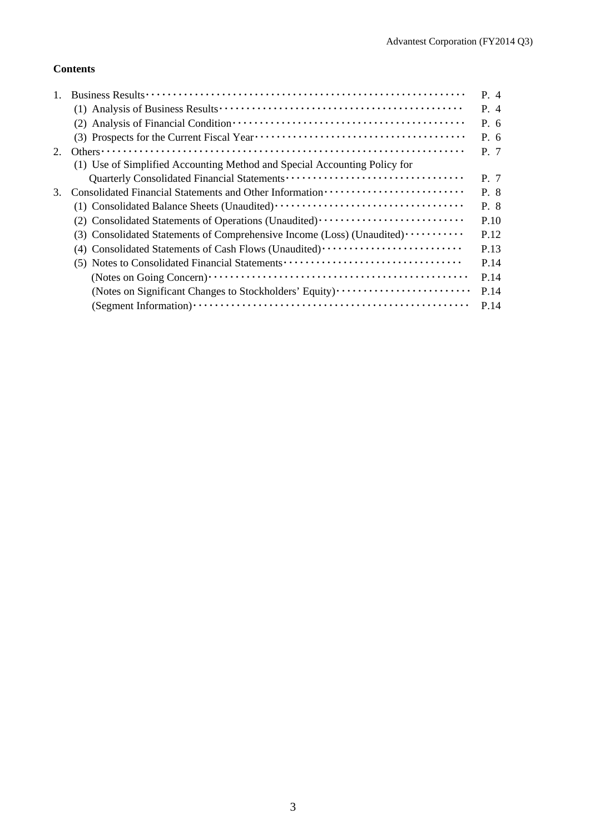## **Contents**

|    |                                                                           | P. 4 |
|----|---------------------------------------------------------------------------|------|
|    |                                                                           | P. 4 |
|    |                                                                           | P. 6 |
|    |                                                                           | P.6  |
| 2. |                                                                           | P. 7 |
|    | (1) Use of Simplified Accounting Method and Special Accounting Policy for |      |
|    |                                                                           | P. 7 |
| 3. |                                                                           | P. 8 |
|    |                                                                           | P. 8 |
|    | (2) Consolidated Statements of Operations (Unaudited)                     | P.10 |
|    | (3) Consolidated Statements of Comprehensive Income (Loss) (Unaudited)    | P.12 |
|    | (4) Consolidated Statements of Cash Flows (Unaudited)                     | P.13 |
|    |                                                                           | P.14 |
|    |                                                                           | P.14 |
|    | (Notes on Significant Changes to Stockholders' Equity)                    | P.14 |
|    |                                                                           | P.14 |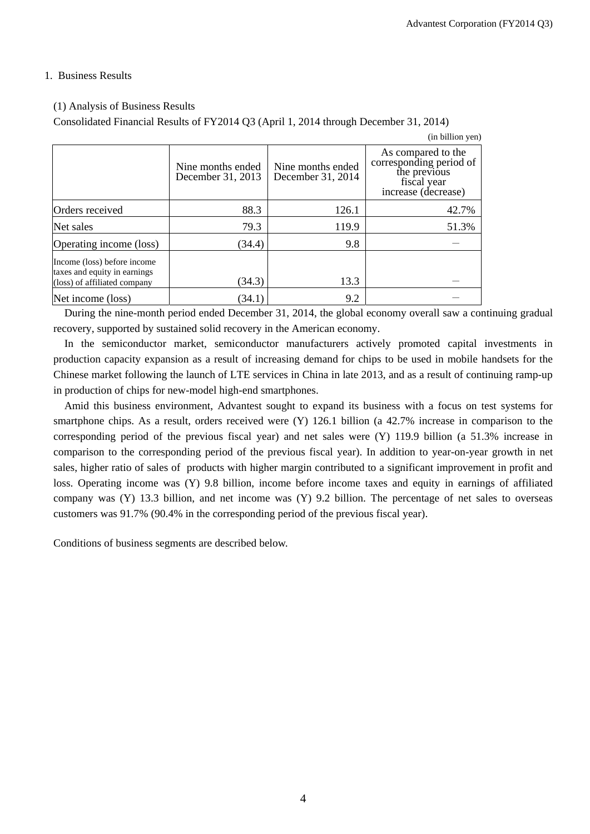(in billion yen)

#### 1. Business Results

#### (1) Analysis of Business Results

Consolidated Financial Results of FY2014 Q3 (April 1, 2014 through December 31, 2014)

|                                                                                             | Nine months ended<br>December 31, 2013 | Nine months ended<br>December 31, 2014 | As compared to the<br>corresponding period of<br>the previous<br>fiscal year<br>increase (decrease) |
|---------------------------------------------------------------------------------------------|----------------------------------------|----------------------------------------|-----------------------------------------------------------------------------------------------------|
| Orders received                                                                             | 88.3                                   | 126.1                                  | 42.7%                                                                                               |
| Net sales                                                                                   | 79.3                                   | 119.9                                  | 51.3%                                                                                               |
| Operating income (loss)                                                                     | (34.4)                                 | 9.8                                    |                                                                                                     |
| Income (loss) before income<br>taxes and equity in earnings<br>(loss) of affiliated company | (34.3)                                 | 13.3                                   |                                                                                                     |
| Net income (loss)                                                                           | (34.1)                                 | 9.2                                    |                                                                                                     |

During the nine-month period ended December 31, 2014, the global economy overall saw a continuing gradual recovery, supported by sustained solid recovery in the American economy.

In the semiconductor market, semiconductor manufacturers actively promoted capital investments in production capacity expansion as a result of increasing demand for chips to be used in mobile handsets for the Chinese market following the launch of LTE services in China in late 2013, and as a result of continuing ramp-up in production of chips for new-model high-end smartphones.

Amid this business environment, Advantest sought to expand its business with a focus on test systems for smartphone chips. As a result, orders received were (Y) 126.1 billion (a 42.7% increase in comparison to the corresponding period of the previous fiscal year) and net sales were (Y) 119.9 billion (a 51.3% increase in comparison to the corresponding period of the previous fiscal year). In addition to year-on-year growth in net sales, higher ratio of sales of products with higher margin contributed to a significant improvement in profit and loss. Operating income was (Y) 9.8 billion, income before income taxes and equity in earnings of affiliated company was (Y) 13.3 billion, and net income was (Y) 9.2 billion. The percentage of net sales to overseas customers was 91.7% (90.4% in the corresponding period of the previous fiscal year).

Conditions of business segments are described below.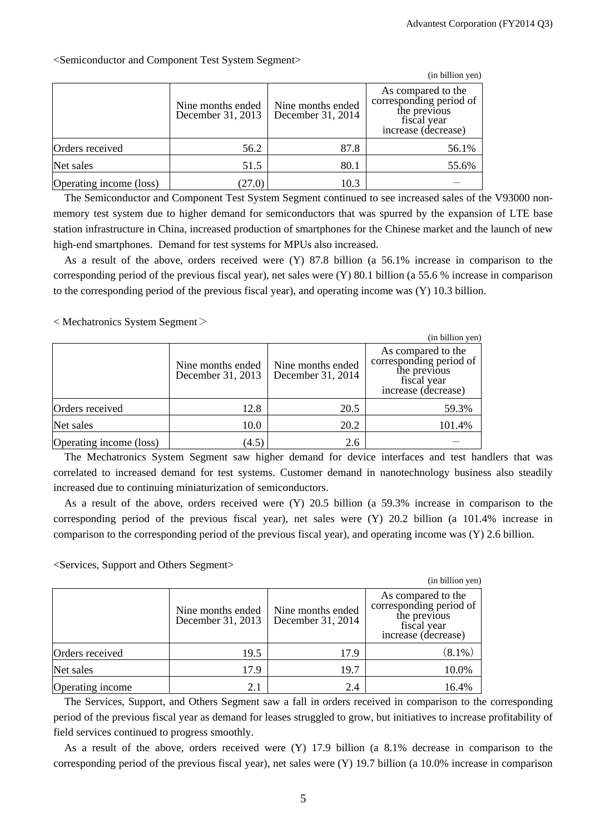|                         |                                        |                                        | (in billion yen)                                                                                    |
|-------------------------|----------------------------------------|----------------------------------------|-----------------------------------------------------------------------------------------------------|
|                         | Nine months ended<br>December 31, 2013 | Nine months ended<br>December 31, 2014 | As compared to the<br>corresponding period of<br>the previous<br>fiscal year<br>increase (decrease) |
| Orders received         | 56.2                                   | 87.8                                   | 56.1%                                                                                               |
| Net sales               | 51.5                                   | 80.1                                   | 55.6%                                                                                               |
| Operating income (loss) | 27.0)                                  | 10.3                                   |                                                                                                     |

<Semiconductor and Component Test System Segment>

The Semiconductor and Component Test System Segment continued to see increased sales of the V93000 nonmemory test system due to higher demand for semiconductors that was spurred by the expansion of LTE base station infrastructure in China, increased production of smartphones for the Chinese market and the launch of new high-end smartphones. Demand for test systems for MPUs also increased.

As a result of the above, orders received were (Y) 87.8 billion (a 56.1% increase in comparison to the corresponding period of the previous fiscal year), net sales were (Y) 80.1 billion (a 55.6 % increase in comparison to the corresponding period of the previous fiscal year), and operating income was (Y) 10.3 billion.

 $\langle$  Mechatronics System Segment $\langle$ 

|                         |                                        |                                        | (in billion yen)                                                                                    |
|-------------------------|----------------------------------------|----------------------------------------|-----------------------------------------------------------------------------------------------------|
|                         | Nine months ended<br>December 31, 2013 | Nine months ended<br>December 31, 2014 | As compared to the<br>corresponding period of<br>the previous<br>fiscal year<br>increase (decrease) |
| Orders received         | 12.8                                   | 20.5                                   | 59.3%                                                                                               |
| Net sales               | 10.0                                   | 20.2                                   | 101.4%                                                                                              |
| Operating income (loss) | (4.5)                                  | 2.6                                    |                                                                                                     |

The Mechatronics System Segment saw higher demand for device interfaces and test handlers that was correlated to increased demand for test systems. Customer demand in nanotechnology business also steadily increased due to continuing miniaturization of semiconductors.

As a result of the above, orders received were (Y) 20.5 billion (a 59.3% increase in comparison to the corresponding period of the previous fiscal year), net sales were (Y) 20.2 billion (a 101.4% increase in comparison to the corresponding period of the previous fiscal year), and operating income was (Y) 2.6 billion.

<Services, Support and Others Segment>

|                  |                                        |                                        | (in billion yen)                                                                                    |
|------------------|----------------------------------------|----------------------------------------|-----------------------------------------------------------------------------------------------------|
|                  | Nine months ended<br>December 31, 2013 | Nine months ended<br>December 31, 2014 | As compared to the<br>corresponding period of<br>the previous<br>fiscal year<br>increase (decrease) |
| Orders received  | 19.5                                   | 17.9                                   | $(8.1\%)$                                                                                           |
| Net sales        | 17.9                                   | 19.7                                   | 10.0%                                                                                               |
| Operating income | 2.1                                    | 2.4                                    | 16.4%                                                                                               |

The Services, Support, and Others Segment saw a fall in orders received in comparison to the corresponding period of the previous fiscal year as demand for leases struggled to grow, but initiatives to increase profitability of field services continued to progress smoothly.

As a result of the above, orders received were (Y) 17.9 billion (a 8.1% decrease in comparison to the corresponding period of the previous fiscal year), net sales were (Y) 19.7 billion (a 10.0% increase in comparison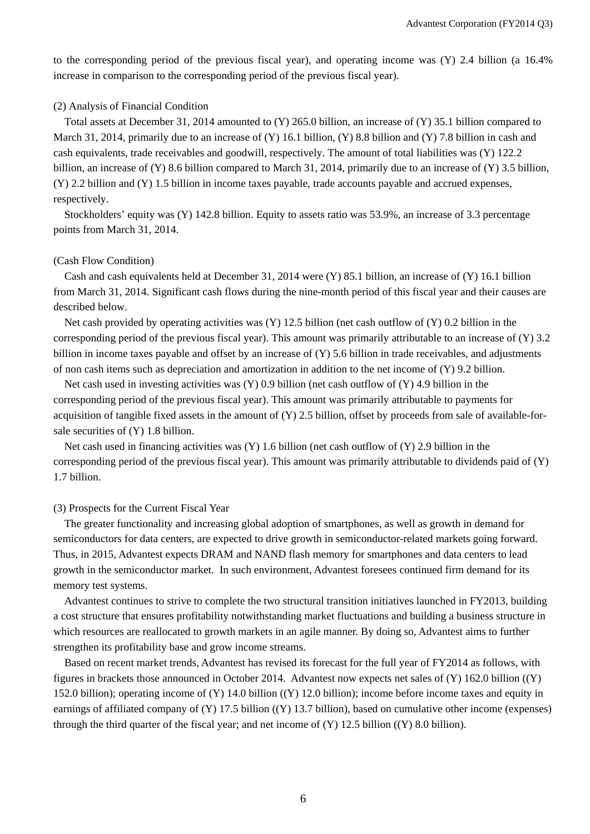to the corresponding period of the previous fiscal year), and operating income was (Y) 2.4 billion (a 16.4% increase in comparison to the corresponding period of the previous fiscal year).

#### (2) Analysis of Financial Condition

Total assets at December 31, 2014 amounted to (Y) 265.0 billion, an increase of (Y) 35.1 billion compared to March 31, 2014, primarily due to an increase of (Y) 16.1 billion, (Y) 8.8 billion and (Y) 7.8 billion in cash and cash equivalents, trade receivables and goodwill, respectively. The amount of total liabilities was (Y) 122.2 billion, an increase of (Y) 8.6 billion compared to March 31, 2014, primarily due to an increase of (Y) 3.5 billion, (Y) 2.2 billion and (Y) 1.5 billion in income taxes payable, trade accounts payable and accrued expenses, respectively.

Stockholders' equity was (Y) 142.8 billion. Equity to assets ratio was 53.9%, an increase of 3.3 percentage points from March 31, 2014.

#### (Cash Flow Condition)

Cash and cash equivalents held at December 31, 2014 were (Y) 85.1 billion, an increase of (Y) 16.1 billion from March 31, 2014. Significant cash flows during the nine-month period of this fiscal year and their causes are described below.

Net cash provided by operating activities was  $(Y)$  12.5 billion (net cash outflow of  $(Y)$ ) 0.2 billion in the corresponding period of the previous fiscal year). This amount was primarily attributable to an increase of (Y) 3.2 billion in income taxes payable and offset by an increase of (Y) 5.6 billion in trade receivables, and adjustments of non cash items such as depreciation and amortization in addition to the net income of  $(Y)$  9.2 billion.

Net cash used in investing activities was (Y) 0.9 billion (net cash outflow of (Y) 4.9 billion in the corresponding period of the previous fiscal year). This amount was primarily attributable to payments for acquisition of tangible fixed assets in the amount of  $(Y)$  2.5 billion, offset by proceeds from sale of available-forsale securities of (Y) 1.8 billion.

Net cash used in financing activities was (Y) 1.6 billion (net cash outflow of (Y) 2.9 billion in the corresponding period of the previous fiscal year). This amount was primarily attributable to dividends paid of (Y) 1.7 billion.

#### (3) Prospects for the Current Fiscal Year

The greater functionality and increasing global adoption of smartphones, as well as growth in demand for semiconductors for data centers, are expected to drive growth in semiconductor-related markets going forward. Thus, in 2015, Advantest expects DRAM and NAND flash memory for smartphones and data centers to lead growth in the semiconductor market. In such environment, Advantest foresees continued firm demand for its memory test systems.

Advantest continues to strive to complete the two structural transition initiatives launched in FY2013, building a cost structure that ensures profitability notwithstanding market fluctuations and building a business structure in which resources are reallocated to growth markets in an agile manner. By doing so, Advantest aims to further strengthen its profitability base and grow income streams.

Based on recent market trends, Advantest has revised its forecast for the full year of FY2014 as follows, with figures in brackets those announced in October 2014. Advantest now expects net sales of (Y) 162.0 billion ((Y) 152.0 billion); operating income of (Y) 14.0 billion ((Y) 12.0 billion); income before income taxes and equity in earnings of affiliated company of (Y) 17.5 billion ((Y) 13.7 billion), based on cumulative other income (expenses) through the third quarter of the fiscal year; and net income of  $(Y)$  12.5 billion ( $(Y)$  8.0 billion).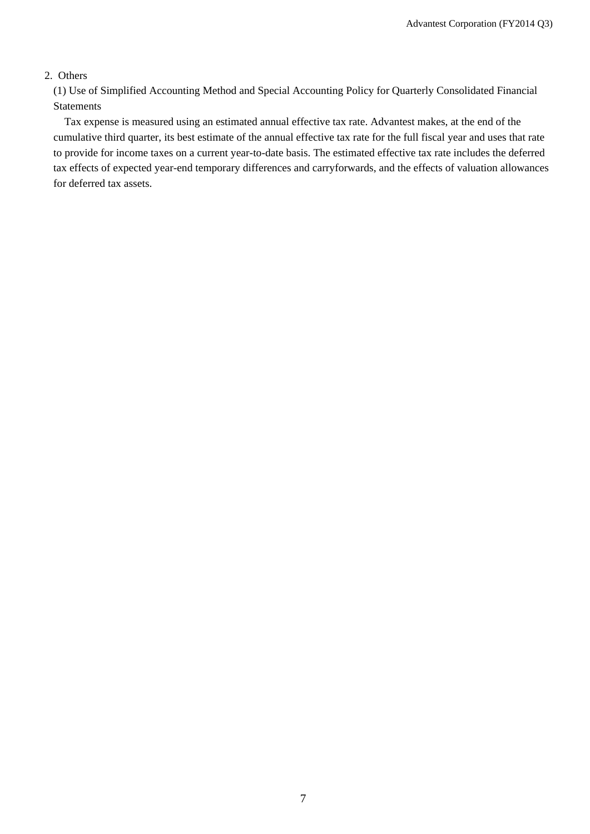### 2. Others

(1) Use of Simplified Accounting Method and Special Accounting Policy for Quarterly Consolidated Financial Statements

Tax expense is measured using an estimated annual effective tax rate. Advantest makes, at the end of the cumulative third quarter, its best estimate of the annual effective tax rate for the full fiscal year and uses that rate to provide for income taxes on a current year-to-date basis. The estimated effective tax rate includes the deferred tax effects of expected year-end temporary differences and carryforwards, and the effects of valuation allowances for deferred tax assets.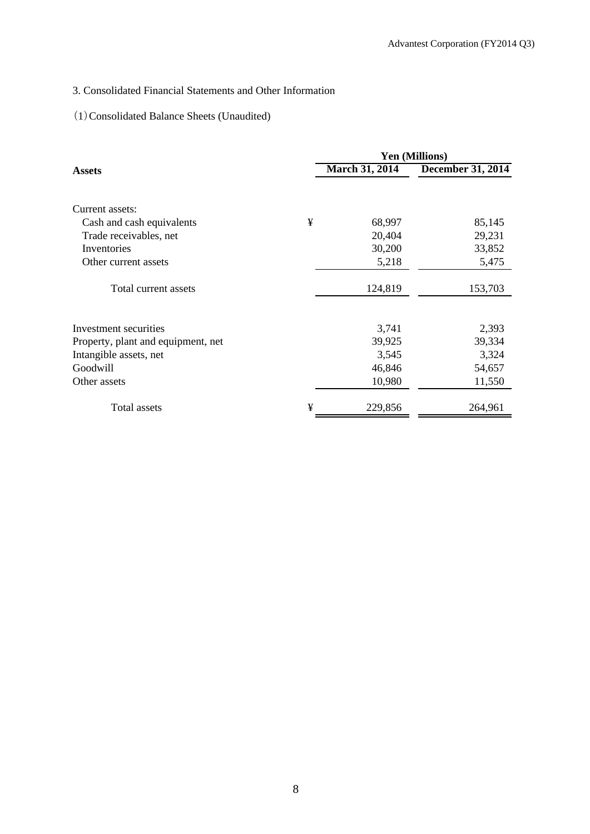# 3. Consolidated Financial Statements and Other Information

# (1)Consolidated Balance Sheets (Unaudited)

|                                    |   |                | <b>Yen (Millions)</b>    |
|------------------------------------|---|----------------|--------------------------|
| <b>Assets</b>                      |   | March 31, 2014 | <b>December 31, 2014</b> |
| Current assets:                    |   |                |                          |
| Cash and cash equivalents          | ¥ | 68,997         | 85,145                   |
| Trade receivables, net             |   | 20,404         | 29,231                   |
| Inventories                        |   | 30,200         | 33,852                   |
| Other current assets               |   | 5,218          | 5,475                    |
| Total current assets               |   | 124,819        | 153,703                  |
| Investment securities              |   | 3,741          | 2,393                    |
| Property, plant and equipment, net |   | 39,925         | 39,334                   |
| Intangible assets, net             |   | 3,545          | 3,324                    |
| Goodwill                           |   | 46,846         | 54,657                   |
| Other assets                       |   | 10,980         | 11,550                   |
| Total assets                       | ¥ | 229,856        | 264,961                  |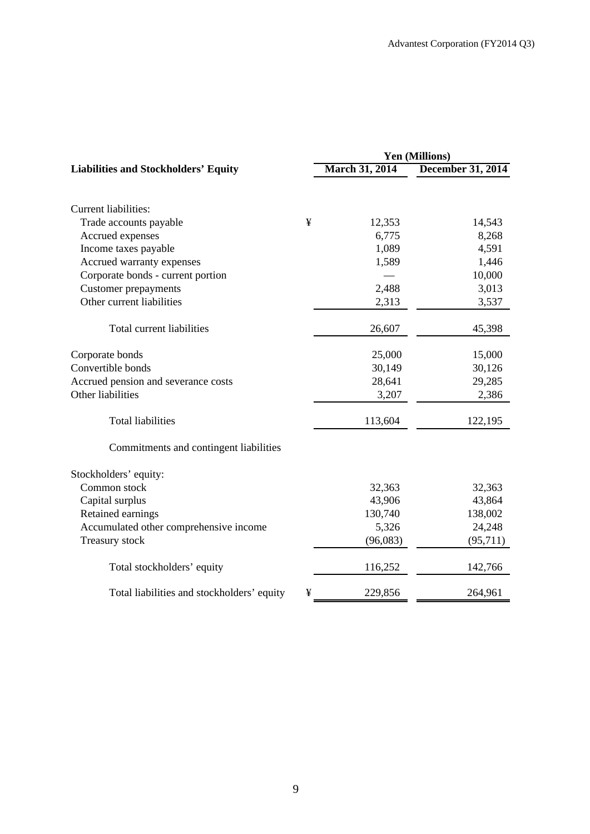|                                                 | Yen (Millions)        |                          |  |  |
|-------------------------------------------------|-----------------------|--------------------------|--|--|
| <b>Liabilities and Stockholders' Equity</b>     | <b>March 31, 2014</b> | <b>December 31, 2014</b> |  |  |
|                                                 |                       |                          |  |  |
| <b>Current liabilities:</b>                     |                       |                          |  |  |
| ¥<br>Trade accounts payable                     | 12,353                | 14,543                   |  |  |
| Accrued expenses                                | 6,775                 | 8,268                    |  |  |
| Income taxes payable                            | 1,089                 | 4,591                    |  |  |
| Accrued warranty expenses                       | 1,589                 | 1,446                    |  |  |
| Corporate bonds - current portion               |                       | 10,000                   |  |  |
| <b>Customer</b> prepayments                     | 2,488                 | 3,013                    |  |  |
| Other current liabilities                       | 2,313                 | 3,537                    |  |  |
| Total current liabilities                       | 26,607                | 45,398                   |  |  |
| Corporate bonds                                 | 25,000                | 15,000                   |  |  |
| Convertible bonds                               | 30,149                | 30,126                   |  |  |
| Accrued pension and severance costs             | 28,641                | 29,285                   |  |  |
| Other liabilities                               | 3,207                 | 2,386                    |  |  |
| <b>Total liabilities</b>                        | 113,604               | 122,195                  |  |  |
| Commitments and contingent liabilities          |                       |                          |  |  |
| Stockholders' equity:                           |                       |                          |  |  |
| Common stock                                    | 32,363                | 32,363                   |  |  |
| Capital surplus                                 | 43,906                | 43,864                   |  |  |
| Retained earnings                               | 130,740               | 138,002                  |  |  |
| Accumulated other comprehensive income          | 5,326                 | 24,248                   |  |  |
| Treasury stock                                  | (96,083)              | (95,711)                 |  |  |
| Total stockholders' equity                      | 116,252               | 142,766                  |  |  |
| Total liabilities and stockholders' equity<br>¥ | 229,856               | 264,961                  |  |  |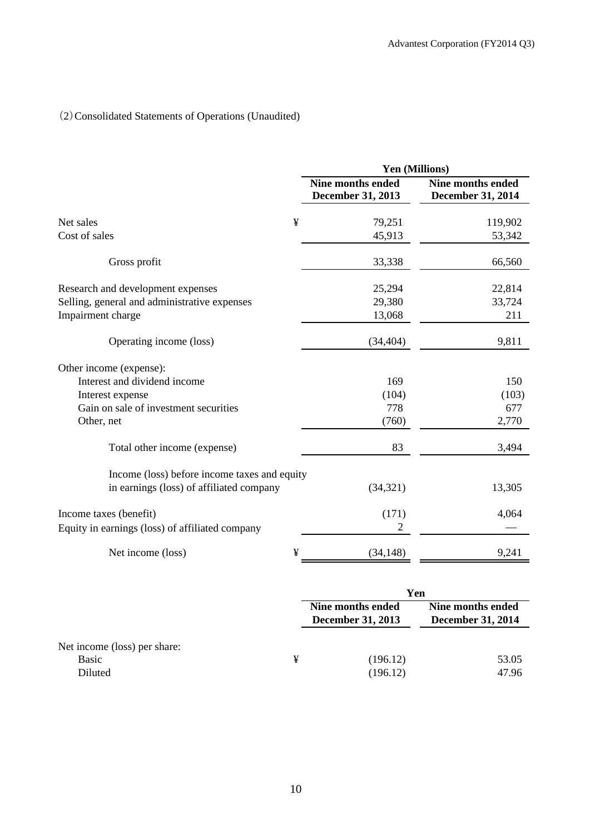# (2)Consolidated Statements of Operations (Unaudited)

|                                                 | Yen (Millions)                                       |                                               |  |  |  |
|-------------------------------------------------|------------------------------------------------------|-----------------------------------------------|--|--|--|
|                                                 | <b>Nine months ended</b><br><b>December 31, 2013</b> | <b>Nine months ended</b><br>December 31, 2014 |  |  |  |
| ¥<br>Net sales                                  | 79,251                                               | 119,902                                       |  |  |  |
| Cost of sales                                   | 45,913                                               | 53,342                                        |  |  |  |
| Gross profit                                    | 33,338                                               | 66,560                                        |  |  |  |
| Research and development expenses               | 25,294                                               | 22,814                                        |  |  |  |
| Selling, general and administrative expenses    | 29,380                                               | 33,724                                        |  |  |  |
| Impairment charge                               | 13,068                                               | 211                                           |  |  |  |
| Operating income (loss)                         | (34, 404)                                            | 9,811                                         |  |  |  |
| Other income (expense):                         |                                                      |                                               |  |  |  |
| Interest and dividend income                    | 169                                                  | 150                                           |  |  |  |
| Interest expense                                | (104)                                                | (103)                                         |  |  |  |
| Gain on sale of investment securities           | 778                                                  | 677                                           |  |  |  |
| Other, net                                      | (760)                                                | 2,770                                         |  |  |  |
| Total other income (expense)                    | 83                                                   | 3,494                                         |  |  |  |
| Income (loss) before income taxes and equity    |                                                      |                                               |  |  |  |
| in earnings (loss) of affiliated company        | (34, 321)                                            | 13,305                                        |  |  |  |
| Income taxes (benefit)                          | (171)                                                | 4,064                                         |  |  |  |
| Equity in earnings (loss) of affiliated company | $\overline{2}$                                       |                                               |  |  |  |
| ¥<br>Net income (loss)                          | (34, 148)                                            | 9,241                                         |  |  |  |

|                              |   | Yen                                           |                                               |  |  |
|------------------------------|---|-----------------------------------------------|-----------------------------------------------|--|--|
|                              |   | Nine months ended<br><b>December 31, 2013</b> | Nine months ended<br><b>December 31, 2014</b> |  |  |
| Net income (loss) per share: |   |                                               |                                               |  |  |
| Basic                        | ¥ | (196.12)                                      | 53.05                                         |  |  |
| Diluted                      |   | (196.12)                                      | 47.96                                         |  |  |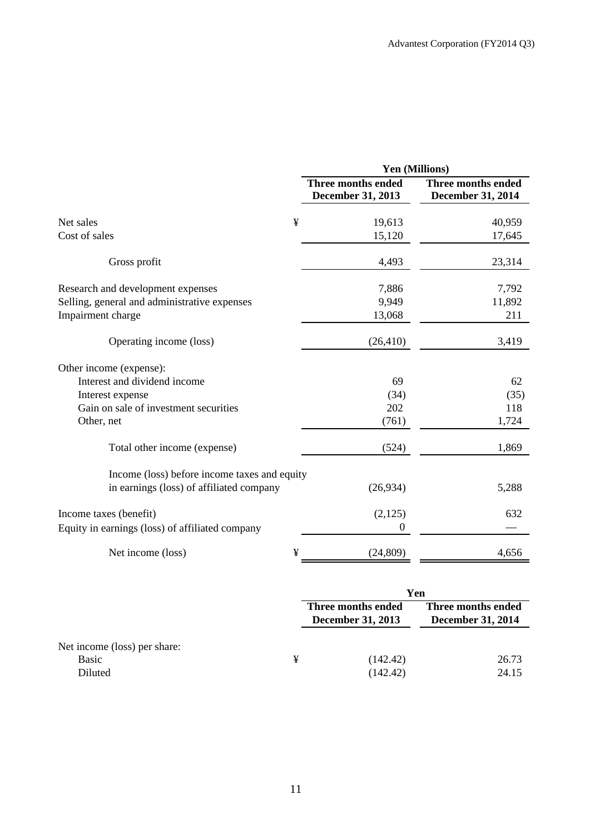|                                                                                          | Yen (Millions)                                 |                                                |  |  |  |
|------------------------------------------------------------------------------------------|------------------------------------------------|------------------------------------------------|--|--|--|
|                                                                                          | Three months ended<br><b>December 31, 2013</b> | Three months ended<br><b>December 31, 2014</b> |  |  |  |
| ¥<br>Net sales                                                                           | 19,613                                         | 40,959                                         |  |  |  |
| Cost of sales                                                                            | 15,120                                         | 17,645                                         |  |  |  |
| Gross profit                                                                             | 4,493                                          | 23,314                                         |  |  |  |
| Research and development expenses                                                        | 7,886                                          | 7,792                                          |  |  |  |
| Selling, general and administrative expenses                                             | 9,949                                          | 11,892                                         |  |  |  |
| Impairment charge                                                                        | 13,068                                         | 211                                            |  |  |  |
| Operating income (loss)                                                                  | (26, 410)                                      | 3,419                                          |  |  |  |
| Other income (expense):                                                                  |                                                |                                                |  |  |  |
| Interest and dividend income                                                             | 69                                             | 62                                             |  |  |  |
| Interest expense                                                                         | (34)                                           | (35)                                           |  |  |  |
| Gain on sale of investment securities                                                    | 202                                            | 118                                            |  |  |  |
| Other, net                                                                               | (761)                                          | 1,724                                          |  |  |  |
| Total other income (expense)                                                             | (524)                                          | 1,869                                          |  |  |  |
| Income (loss) before income taxes and equity<br>in earnings (loss) of affiliated company | (26,934)                                       | 5,288                                          |  |  |  |
|                                                                                          |                                                |                                                |  |  |  |
| Income taxes (benefit)                                                                   | (2,125)                                        | 632                                            |  |  |  |
| Equity in earnings (loss) of affiliated company                                          | $\boldsymbol{0}$                               |                                                |  |  |  |
| ¥<br>Net income (loss)                                                                   | (24, 809)                                      | 4,656                                          |  |  |  |

|                                                  |   | Yen                                            |                                                |  |
|--------------------------------------------------|---|------------------------------------------------|------------------------------------------------|--|
|                                                  |   | Three months ended<br><b>December 31, 2013</b> | Three months ended<br><b>December 31, 2014</b> |  |
| Net income (loss) per share:<br>Basic<br>Diluted | ¥ | (142.42)<br>(142.42)                           | 26.73<br>24.15                                 |  |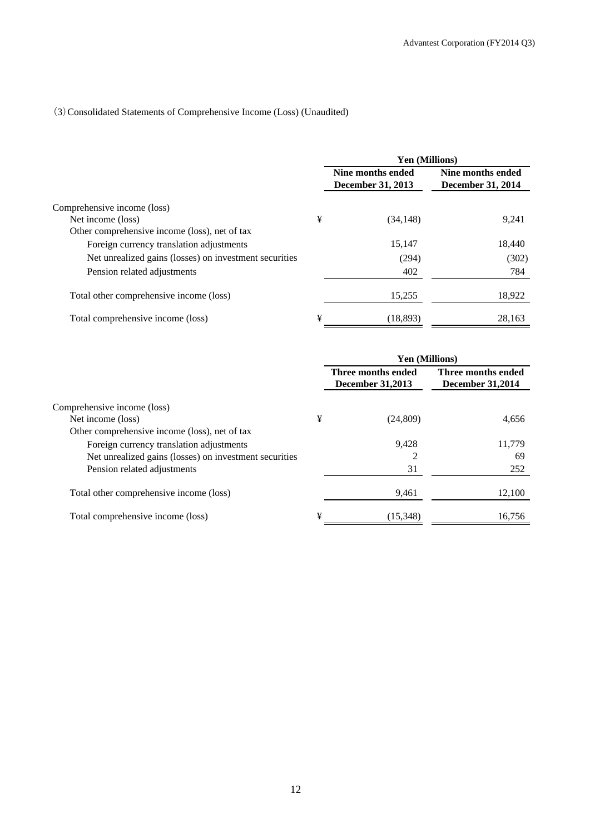## (3)Consolidated Statements of Comprehensive Income (Loss) (Unaudited)

|                                                        |   | Yen (Millions)                         |                                               |  |
|--------------------------------------------------------|---|----------------------------------------|-----------------------------------------------|--|
|                                                        |   | Nine months ended<br>December 31, 2013 | Nine months ended<br><b>December 31, 2014</b> |  |
| Comprehensive income (loss)                            |   |                                        |                                               |  |
| Net income (loss)                                      | ¥ | (34, 148)                              | 9,241                                         |  |
| Other comprehensive income (loss), net of tax          |   |                                        |                                               |  |
| Foreign currency translation adjustments               |   | 15,147                                 | 18,440                                        |  |
| Net unrealized gains (losses) on investment securities |   | (294)                                  | (302)                                         |  |
| Pension related adjustments                            |   | 402                                    | 784                                           |  |
| Total other comprehensive income (loss)                |   | 15,255                                 | 18,922                                        |  |
| Total comprehensive income (loss)                      | ¥ | (18.893)                               | 28,163                                        |  |

|                                                        |   | <b>Yen (Millions)</b>                         |                                               |
|--------------------------------------------------------|---|-----------------------------------------------|-----------------------------------------------|
|                                                        |   | Three months ended<br><b>December 31,2013</b> | Three months ended<br><b>December 31,2014</b> |
| Comprehensive income (loss)                            |   |                                               |                                               |
| Net income (loss)                                      | ¥ | (24,809)                                      | 4,656                                         |
| Other comprehensive income (loss), net of tax          |   |                                               |                                               |
| Foreign currency translation adjustments               |   | 9,428                                         | 11,779                                        |
| Net unrealized gains (losses) on investment securities |   | 2                                             | 69                                            |
| Pension related adjustments                            |   | 31                                            | 252                                           |
| Total other comprehensive income (loss)                |   | 9,461                                         | 12,100                                        |
| Total comprehensive income (loss)                      | ¥ | (15,348)                                      | 16,756                                        |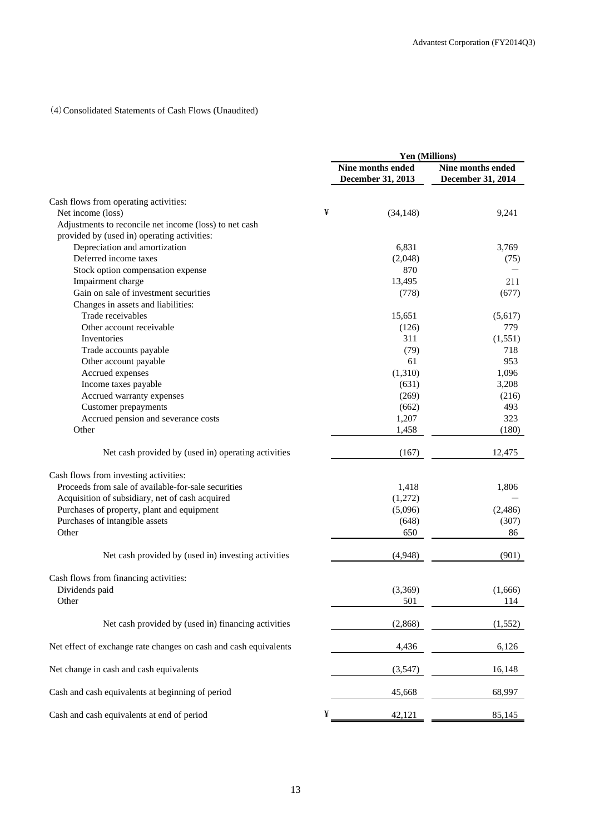## (4)Consolidated Statements of Cash Flows (Unaudited)

|                                                                  |   | Yen (Millions)    |                   |  |
|------------------------------------------------------------------|---|-------------------|-------------------|--|
|                                                                  |   | Nine months ended | Nine months ended |  |
|                                                                  |   | December 31, 2013 | December 31, 2014 |  |
| Cash flows from operating activities:                            |   |                   |                   |  |
| Net income (loss)                                                | ¥ | (34, 148)         | 9,241             |  |
| Adjustments to reconcile net income (loss) to net cash           |   |                   |                   |  |
| provided by (used in) operating activities:                      |   |                   |                   |  |
| Depreciation and amortization                                    |   | 6,831             | 3,769             |  |
| Deferred income taxes                                            |   | (2,048)           | (75)              |  |
| Stock option compensation expense                                |   | 870               |                   |  |
| Impairment charge                                                |   | 13,495            | 211               |  |
| Gain on sale of investment securities                            |   | (778)             | (677)             |  |
| Changes in assets and liabilities:                               |   |                   |                   |  |
| Trade receivables                                                |   | 15,651            | (5,617)           |  |
| Other account receivable                                         |   | (126)             | 779               |  |
| Inventories                                                      |   | 311               | (1, 551)          |  |
| Trade accounts payable                                           |   | (79)              | 718               |  |
| Other account payable                                            |   | 61                | 953               |  |
| Accrued expenses                                                 |   | (1,310)           | 1,096             |  |
| Income taxes payable                                             |   | (631)             | 3,208             |  |
| Accrued warranty expenses                                        |   | (269)             | (216)             |  |
| <b>Customer</b> prepayments                                      |   | (662)             | 493               |  |
| Accrued pension and severance costs                              |   | 1,207             | 323               |  |
| Other                                                            |   | 1,458             | (180)             |  |
| Net cash provided by (used in) operating activities              |   | (167)             | 12,475            |  |
| Cash flows from investing activities:                            |   |                   |                   |  |
| Proceeds from sale of available-for-sale securities              |   | 1,418             | 1,806             |  |
| Acquisition of subsidiary, net of cash acquired                  |   | (1,272)           |                   |  |
| Purchases of property, plant and equipment                       |   | (5,096)           | (2,486)           |  |
| Purchases of intangible assets                                   |   | (648)             | (307)             |  |
| Other                                                            |   | 650               | 86                |  |
| Net cash provided by (used in) investing activities              |   | (4,948)           | (901)             |  |
| Cash flows from financing activities:                            |   |                   |                   |  |
| Dividends paid                                                   |   | (3,369)           | (1,666)           |  |
| Other                                                            |   | 501               | 114               |  |
|                                                                  |   |                   |                   |  |
| Net cash provided by (used in) financing activities              |   | (2,868)           | (1, 552)          |  |
| Net effect of exchange rate changes on cash and cash equivalents |   | 4,436             | 6,126             |  |
| Net change in cash and cash equivalents                          |   | (3,547)           | 16,148            |  |
| Cash and cash equivalents at beginning of period                 |   | 45,668            | 68,997            |  |
| Cash and cash equivalents at end of period                       | ¥ | 42,121            | 85,145            |  |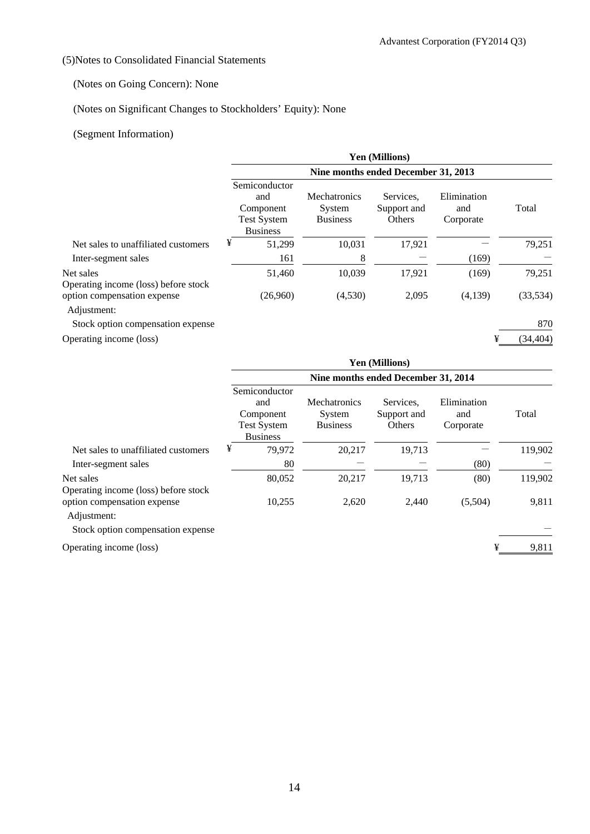## (5)Notes to Consolidated Financial Statements

## (Notes on Going Concern): None

# (Notes on Significant Changes to Stockholders' Equity): None

## (Segment Information)

|                                                   | <b>Yen (Millions)</b>                                                      |                                                  |                                    |                                 |           |  |  |  |
|---------------------------------------------------|----------------------------------------------------------------------------|--------------------------------------------------|------------------------------------|---------------------------------|-----------|--|--|--|
|                                                   | Nine months ended December 31, 2013                                        |                                                  |                                    |                                 |           |  |  |  |
|                                                   | Semiconductor<br>and<br>Component<br><b>Test System</b><br><b>Business</b> | <b>Mechatronics</b><br>System<br><b>Business</b> | Services.<br>Support and<br>Others | Elimination<br>and<br>Corporate | Total     |  |  |  |
| Net sales to unaffiliated customers               | ¥<br>51,299                                                                | 10,031                                           | 17,921                             |                                 | 79,251    |  |  |  |
| Inter-segment sales                               | 161                                                                        | 8                                                |                                    | (169)                           |           |  |  |  |
| Net sales<br>Operating income (loss) before stock | 51,460                                                                     | 10,039                                           | 17,921                             | (169)                           | 79,251    |  |  |  |
| option compensation expense<br>Adjustment:        | (26,960)                                                                   | (4,530)                                          | 2,095                              | (4,139)                         | (33, 534) |  |  |  |
| Stock option compensation expense                 |                                                                            |                                                  |                                    |                                 | 870       |  |  |  |
| Operating income (loss)                           |                                                                            |                                                  |                                    | ¥                               | (34, 404) |  |  |  |

|                                                   | <b>Yen (Millions)</b>               |                                                                            |                                                  |                                    |                                 |         |  |
|---------------------------------------------------|-------------------------------------|----------------------------------------------------------------------------|--------------------------------------------------|------------------------------------|---------------------------------|---------|--|
|                                                   | Nine months ended December 31, 2014 |                                                                            |                                                  |                                    |                                 |         |  |
|                                                   |                                     | Semiconductor<br>and<br>Component<br><b>Test System</b><br><b>Business</b> | <b>Mechatronics</b><br>System<br><b>Business</b> | Services.<br>Support and<br>Others | Elimination<br>and<br>Corporate | Total   |  |
| Net sales to unaffiliated customers               | ¥                                   | 79.972                                                                     | 20,217                                           | 19.713                             |                                 | 119,902 |  |
| Inter-segment sales                               |                                     | 80                                                                         |                                                  |                                    | (80)                            |         |  |
| Net sales<br>Operating income (loss) before stock |                                     | 80,052                                                                     | 20,217                                           | 19,713                             | (80)                            | 119,902 |  |
| option compensation expense<br>Adjustment:        |                                     | 10,255                                                                     | 2,620                                            | 2,440                              | (5,504)                         | 9,811   |  |

Stock option compensation expense

Operating income (loss)  $\frac{4}{3}$  9,811